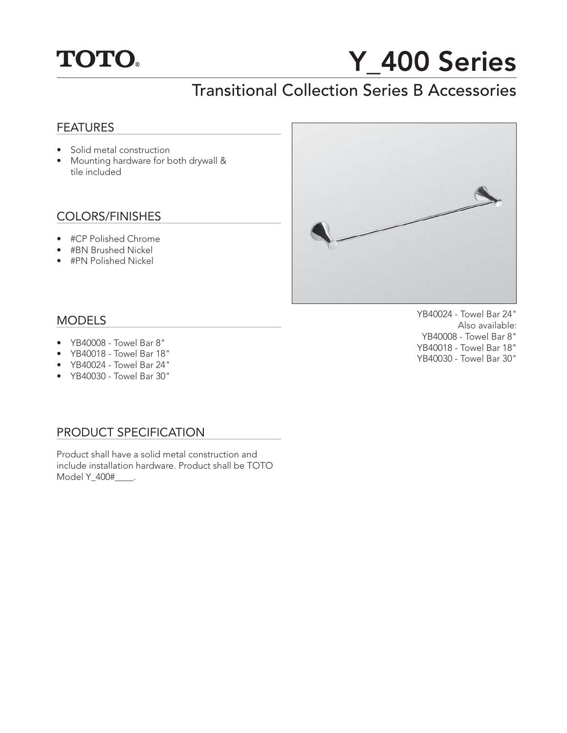

# Y 400 Series

## Transitional Collection Series B Accessories

#### **FEATURES**

- Solid metal construction
- Mounting hardware for both drywall & tile included

#### COLORS/FINISHES

- #CP Polished Chrome
- #BN Brushed Nickel
- #PN Polished Nickel



#### MODELS

- YB40008 Towel Bar 8"
- YB40018 Towel Bar 18"
- YB40024 Towel Bar 24"
- YB40030 Towel Bar 30"

#### PRODUCT SPECIFICATION

Product shall have a solid metal construction and include installation hardware. Product shall be TOTO Model Y\_400#\_\_\_\_.

YB40024 - Towel Bar 24" Also available: YB40008 - Towel Bar 8" YB40018 - Towel Bar 18" YB40030 - Towel Bar 30"